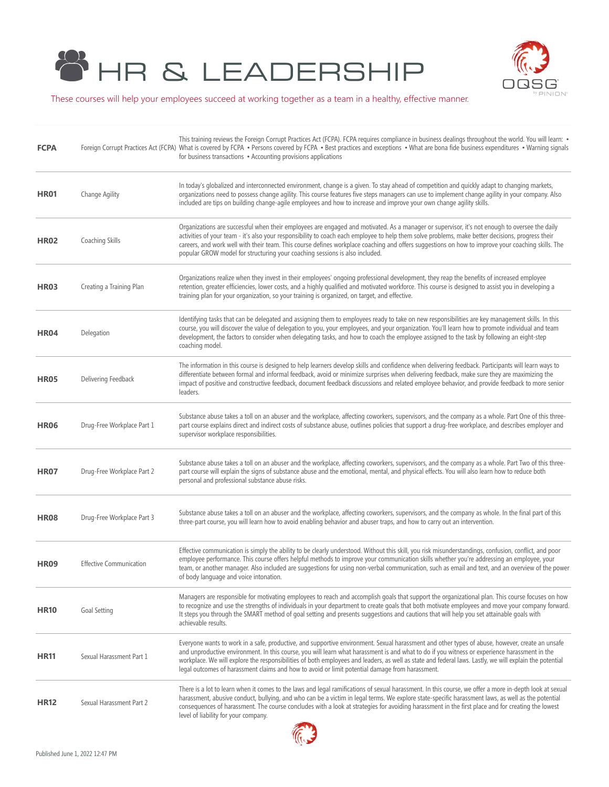



These courses will help your employees succeed at working together as a team in a healthy, effective manner.

| <b>FCPA</b> |                                | This training reviews the Foreign Corrupt Practices Act (FCPA). FCPA requires compliance in business dealings throughout the world. You will learn: •<br>Foreign Corrupt Practices Act (FCPA) What is covered by FCPA · Persons covered by FCPA · Best practices and exceptions · What are bona fide business expenditures · Warning signals<br>for business transactions • Accounting provisions applications                                                                                                                                                 |
|-------------|--------------------------------|----------------------------------------------------------------------------------------------------------------------------------------------------------------------------------------------------------------------------------------------------------------------------------------------------------------------------------------------------------------------------------------------------------------------------------------------------------------------------------------------------------------------------------------------------------------|
| <b>HR01</b> | Change Agility                 | In today's globalized and interconnected environment, change is a given. To stay ahead of competition and quickly adapt to changing markets,<br>organizations need to possess change agility. This course features five steps managers can use to implement change agility in your company. Also<br>included are tips on building change-agile employees and how to increase and improve your own change agility skills.                                                                                                                                       |
| <b>HR02</b> | Coaching Skills                | Organizations are successful when their employees are engaged and motivated. As a manager or supervisor, it's not enough to oversee the daily<br>activities of your team - it's also your responsibility to coach each employee to help them solve problems, make better decisions, progress their<br>careers, and work well with their team. This course defines workplace coaching and offers suggestions on how to improve your coaching skills. The<br>popular GROW model for structuring your coaching sessions is also included.                         |
| HR03        | Creating a Training Plan       | Organizations realize when they invest in their employees' ongoing professional development, they reap the benefits of increased employee<br>retention, greater efficiencies, lower costs, and a highly qualified and motivated workforce. This course is designed to assist you in developing a<br>training plan for your organization, so your training is organized, on target, and effective.                                                                                                                                                              |
| <b>HR04</b> | Delegation                     | Identifying tasks that can be delegated and assigning them to employees ready to take on new responsibilities are key management skills. In this<br>course, you will discover the value of delegation to you, your employees, and your organization. You'll learn how to promote individual and team<br>development, the factors to consider when delegating tasks, and how to coach the employee assigned to the task by following an eight-step<br>coaching model.                                                                                           |
| <b>HR05</b> | Delivering Feedback            | The information in this course is designed to help learners develop skills and confidence when delivering feedback. Participants will learn ways to<br>differentiate between formal and informal feedback, avoid or minimize surprises when delivering feedback, make sure they are maximizing the<br>impact of positive and constructive feedback, document feedback discussions and related employee behavior, and provide feedback to more senior<br>leaders.                                                                                               |
| <b>HR06</b> | Drug-Free Workplace Part 1     | Substance abuse takes a toll on an abuser and the workplace, affecting coworkers, supervisors, and the company as a whole. Part One of this three-<br>part course explains direct and indirect costs of substance abuse, outlines policies that support a drug-free workplace, and describes employer and<br>supervisor workplace responsibilities.                                                                                                                                                                                                            |
| <b>HR07</b> | Drug-Free Workplace Part 2     | Substance abuse takes a toll on an abuser and the workplace, affecting coworkers, supervisors, and the company as a whole. Part Two of this three-<br>part course will explain the signs of substance abuse and the emotional, mental, and physical effects. You will also learn how to reduce both<br>personal and professional substance abuse risks.                                                                                                                                                                                                        |
| <b>HR08</b> | Drug-Free Workplace Part 3     | Substance abuse takes a toll on an abuser and the workplace, affecting coworkers, supervisors, and the company as whole. In the final part of this<br>three-part course, you will learn how to avoid enabling behavior and abuser traps, and how to carry out an intervention.                                                                                                                                                                                                                                                                                 |
| <b>HR09</b> | <b>Effective Communication</b> | Effective communication is simply the ability to be clearly understood. Without this skill, you risk misunderstandings, confusion, conflict, and poor<br>employee performance. This course offers helpful methods to improve your communication skills whether you're addressing an employee, your<br>team, or another manager. Also included are suggestions for using non-verbal communication, such as email and text, and an overview of the power<br>of body language and voice intonation.                                                               |
| <b>HR10</b> | Goal Setting                   | Managers are responsible for motivating employees to reach and accomplish goals that support the organizational plan. This course focuses on how<br>to recognize and use the strengths of individuals in your department to create goals that both motivate employees and move your company forward.<br>It steps you through the SMART method of goal setting and presents suggestions and cautions that will help you set attainable goals with<br>achievable results.                                                                                        |
| <b>HR11</b> | Sexual Harassment Part 1       | Everyone wants to work in a safe, productive, and supportive environment. Sexual harassment and other types of abuse, however, create an unsafe<br>and unproductive environment. In this course, you will learn what harassment is and what to do if you witness or experience harassment in the<br>workplace. We will explore the responsibilities of both employees and leaders, as well as state and federal laws. Lastly, we will explain the potential<br>legal outcomes of harassment claims and how to avoid or limit potential damage from harassment. |
| <b>HR12</b> | Sexual Harassment Part 2       | There is a lot to learn when it comes to the laws and legal ramifications of sexual harassment. In this course, we offer a more in-depth look at sexual<br>harassment, abusive conduct, bullying, and who can be a victim in legal terms. We explore state-specific harassment laws, as well as the potential<br>consequences of harassment. The course concludes with a look at strategies for avoiding harassment in the first place and for creating the lowest<br>level of liability for your company.                                                     |